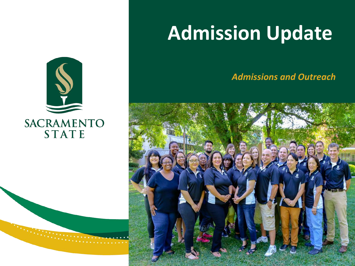### **Admission Update**

*Admissions and Outreach*



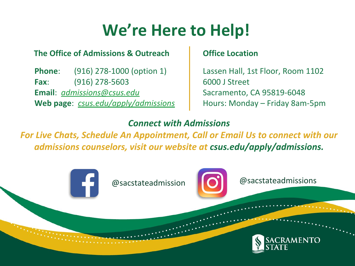#### **We're Here to Help!**

#### **The Office of Admissions & Outreach**

**Phone**: (916) 278-1000 (option 1) **Fax**: (916) 278-5603 **Email**: *[admissions@csus.edu](mailto:admissions@csus.edu)* **Web page**: *[csus.edu/apply/admissions](http://www.csus.edu/admissions)*

#### **Office Location**

Lassen Hall, 1st Floor, Room 1102 6000 J Street Sacramento, CA 95819-6048 Hours: Monday – Friday 8am-5pm

#### *Connect with Admissions*

*For Live Chats, Schedule An Appointment, Call or Email Us to connect with our admissions counselors, visit our website at csus.edu/apply/admissions.*

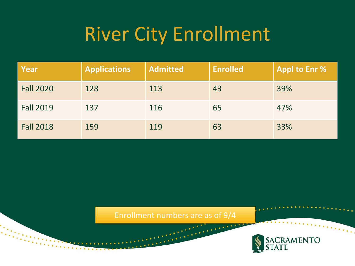## River City Enrollment

| Year             | <b>Applications</b> | <b>Admitted</b> | <b>Enrolled</b> | <b>Appl to Enr %</b> |
|------------------|---------------------|-----------------|-----------------|----------------------|
| <b>Fall 2020</b> | 128                 | 113             | 43              | 39%                  |
| <b>Fall 2019</b> | 137                 | 116             | 65              | 47%                  |
| <b>Fall 2018</b> | 159                 | 119             | 63              | 33%                  |

Enrollment numbers are as of 9/4

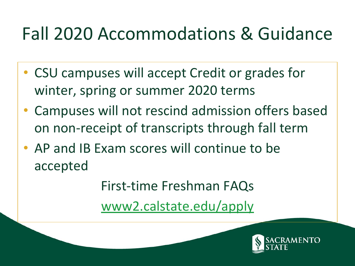#### Fall 2020 Accommodations & Guidance

- CSU campuses will accept Credit or grades for winter, spring or summer 2020 terms
- Campuses will not rescind admission offers based on non-receipt of transcripts through fall term
- AP and IB Exam scores will continue to be accepted

First-time Freshman FAQs

[www2.calstate.edu/apply](https://www2.calstate.edu/apply)

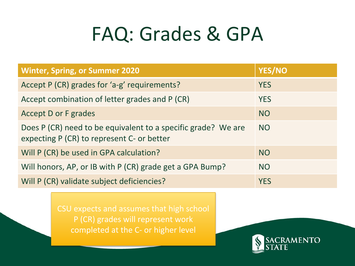## FAQ: Grades & GPA

| <b>Winter, Spring, or Summer 2020</b>                                                                       | <b>YES/NO</b> |
|-------------------------------------------------------------------------------------------------------------|---------------|
| Accept P (CR) grades for 'a-g' requirements?                                                                | <b>YES</b>    |
| Accept combination of letter grades and P (CR)                                                              | <b>YES</b>    |
| <b>Accept D or F grades</b>                                                                                 | <b>NO</b>     |
| Does P (CR) need to be equivalent to a specific grade? We are<br>expecting P (CR) to represent C- or better | <b>NO</b>     |
| Will P (CR) be used in GPA calculation?                                                                     | <b>NO</b>     |
| Will honors, AP, or IB with P (CR) grade get a GPA Bump?                                                    | <b>NO</b>     |
| Will P (CR) validate subject deficiencies?                                                                  | <b>YES</b>    |

CSU expects and assumes that high school P (CR) grades will represent work completed at the C- or higher level

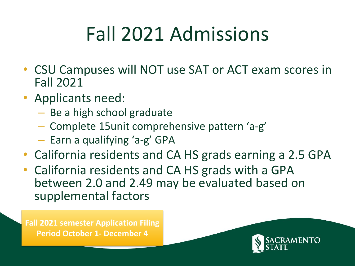# Fall 2021 Admissions

- CSU Campuses will NOT use SAT or ACT exam scores in Fall 2021
- Applicants need:
	- Be a high school graduate
	- Complete 15unit comprehensive pattern 'a-g'
	- Earn a qualifying 'a-g' GPA
- California residents and CA HS grads earning a 2.5 GPA
- California residents and CA HS grads with a GPA between 2.0 and 2.49 may be evaluated based on supplemental factors

**Fall 2021 semester Application Filing Period October 1- December 4**

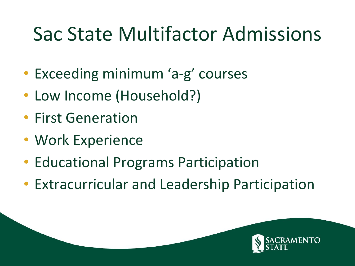## Sac State Multifactor Admissions

- Exceeding minimum 'a-g' courses
- Low Income (Household?)
- First Generation
- Work Experience
- Educational Programs Participation
- Extracurricular and Leadership Participation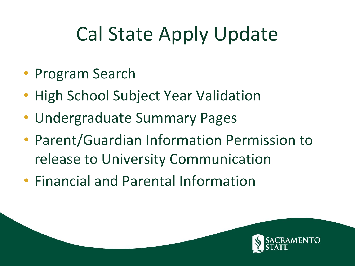# Cal State Apply Update

- Program Search
- High School Subject Year Validation
- Undergraduate Summary Pages
- Parent/Guardian Information Permission to release to University Communication
- Financial and Parental Information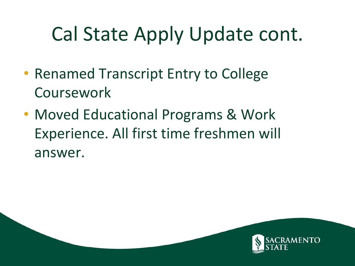# Cal State Apply Update cont.

- Renamed Transcript Entry to College Coursework
- Moved Educational Programs & Work Experience. All first time freshmen will answer.

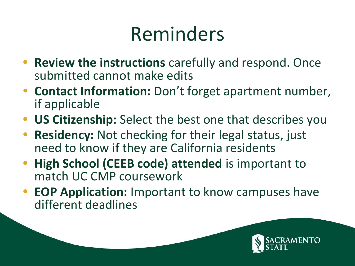## Reminders

- **• Review the instructions** carefully and respond. Once submitted cannot make edits
- **• Contact Information:** Don't forget apartment number, if applicable
- **• US Citizenship:** Select the best one that describes you
- **• Residency:** Not checking for their legal status, just need to know if they are California residents
- **• High School (CEEB code) attended** is important to match UC CMP coursework
- **• EOP Application:** Important to know campuses have different deadlines

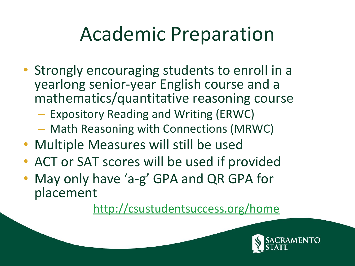## Academic Preparation

- Strongly encouraging students to enroll in a yearlong senior-year English course and a mathematics/quantitative reasoning course
	- Expository Reading and Writing (ERWC)
	- Math Reasoning with Connections (MRWC)
- Multiple Measures will still be used
- ACT or SAT scores will be used if provided
- May only have 'a-g' GPA and QR GPA for placement

<http://csustudentsuccess.org/home>

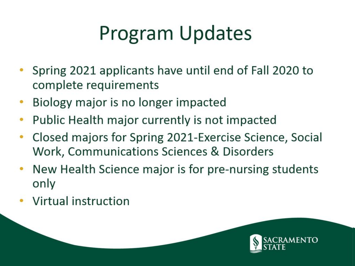# Program Updates

- Spring 2021 applicants have until end of Fall 2020 to complete requirements
- Biology major is no longer impacted ۰
- Public Health major currently is not impacted
- Closed majors for Spring 2021-Exercise Science, Social Work, Communications Sciences & Disorders
- New Health Science major is for pre-nursing students only
- Virtual instruction

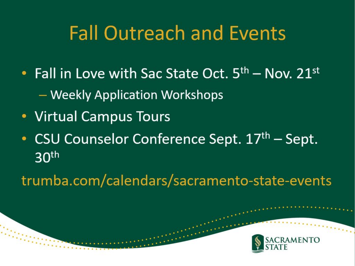#### **Fall Outreach and Events**

- Fall in Love with Sac State Oct.  $5<sup>th</sup>$  Nov.  $21<sup>st</sup>$ - Weekly Application Workshops
- Virtual Campus Tours
- CSU Counselor Conference Sept. 17th Sept.  $30<sup>th</sup>$

trumba.com/calendars/sacramento-state-events